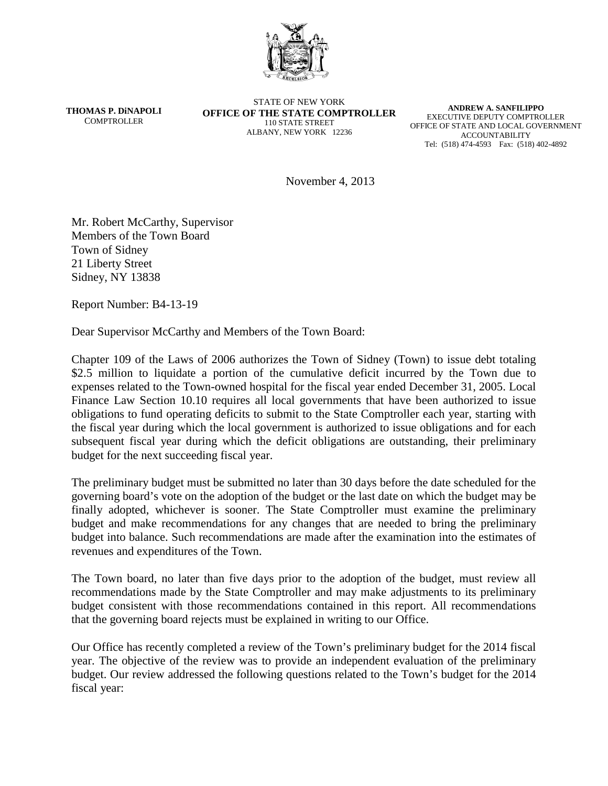

**THOMAS P. DiNAPOLI COMPTROLLER** 

STATE OF NEW YORK **OFFICE OF THE STATE COMPTROLLER** 110 STATE STREET ALBANY, NEW YORK 12236

**ANDREW A. SANFILIPPO** EXECUTIVE DEPUTY COMPTROLLER OFFICE OF STATE AND LOCAL GOVERNMENT ACCOUNTABILITY Tel: (518) 474-4593 Fax: (518) 402-4892

November 4, 2013

Mr. Robert McCarthy, Supervisor Members of the Town Board Town of Sidney 21 Liberty Street Sidney, NY 13838

Report Number: B4-13-19

Dear Supervisor McCarthy and Members of the Town Board:

Chapter 109 of the Laws of 2006 authorizes the Town of Sidney (Town) to issue debt totaling \$2.5 million to liquidate a portion of the cumulative deficit incurred by the Town due to expenses related to the Town-owned hospital for the fiscal year ended December 31, 2005. Local Finance Law Section 10.10 requires all local governments that have been authorized to issue obligations to fund operating deficits to submit to the State Comptroller each year, starting with the fiscal year during which the local government is authorized to issue obligations and for each subsequent fiscal year during which the deficit obligations are outstanding, their preliminary budget for the next succeeding fiscal year.

The preliminary budget must be submitted no later than 30 days before the date scheduled for the governing board's vote on the adoption of the budget or the last date on which the budget may be finally adopted, whichever is sooner. The State Comptroller must examine the preliminary budget and make recommendations for any changes that are needed to bring the preliminary budget into balance. Such recommendations are made after the examination into the estimates of revenues and expenditures of the Town.

The Town board, no later than five days prior to the adoption of the budget, must review all recommendations made by the State Comptroller and may make adjustments to its preliminary budget consistent with those recommendations contained in this report. All recommendations that the governing board rejects must be explained in writing to our Office.

Our Office has recently completed a review of the Town's preliminary budget for the 2014 fiscal year. The objective of the review was to provide an independent evaluation of the preliminary budget. Our review addressed the following questions related to the Town's budget for the 2014 fiscal year: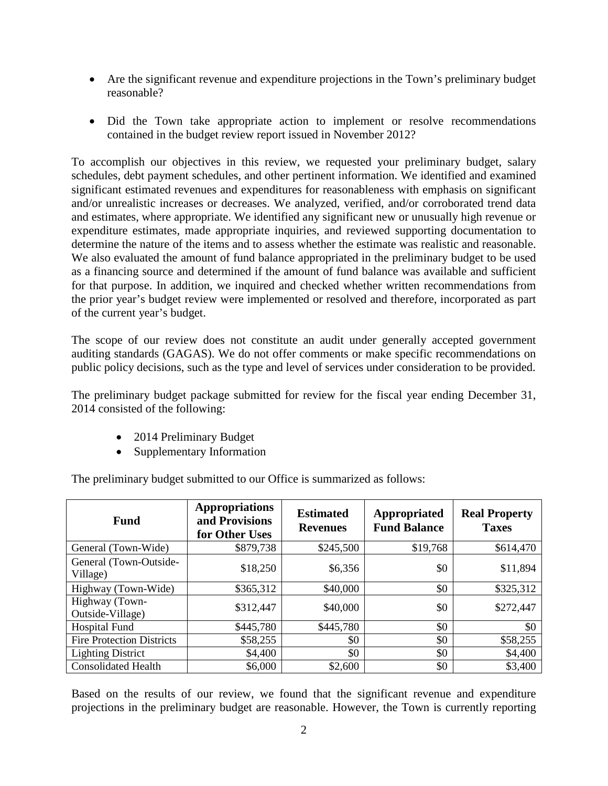- Are the significant revenue and expenditure projections in the Town's preliminary budget reasonable?
- Did the Town take appropriate action to implement or resolve recommendations contained in the budget review report issued in November 2012?

To accomplish our objectives in this review, we requested your preliminary budget, salary schedules, debt payment schedules, and other pertinent information. We identified and examined significant estimated revenues and expenditures for reasonableness with emphasis on significant and/or unrealistic increases or decreases. We analyzed, verified, and/or corroborated trend data and estimates, where appropriate. We identified any significant new or unusually high revenue or expenditure estimates, made appropriate inquiries, and reviewed supporting documentation to determine the nature of the items and to assess whether the estimate was realistic and reasonable. We also evaluated the amount of fund balance appropriated in the preliminary budget to be used as a financing source and determined if the amount of fund balance was available and sufficient for that purpose. In addition, we inquired and checked whether written recommendations from the prior year's budget review were implemented or resolved and therefore, incorporated as part of the current year's budget.

The scope of our review does not constitute an audit under generally accepted government auditing standards (GAGAS). We do not offer comments or make specific recommendations on public policy decisions, such as the type and level of services under consideration to be provided.

The preliminary budget package submitted for review for the fiscal year ending December 31, 2014 consisted of the following:

- 2014 Preliminary Budget
- Supplementary Information

The preliminary budget submitted to our Office is summarized as follows:

| <b>Fund</b>                        | <b>Appropriations</b><br>and Provisions<br>for Other Uses | <b>Estimated</b><br><b>Revenues</b> | Appropriated<br><b>Fund Balance</b> | <b>Real Property</b><br><b>Taxes</b> |
|------------------------------------|-----------------------------------------------------------|-------------------------------------|-------------------------------------|--------------------------------------|
| General (Town-Wide)                | \$879,738                                                 | \$245,500                           | \$19,768                            | \$614,470                            |
| General (Town-Outside-<br>Village) | \$18,250                                                  | \$6,356                             | \$0                                 | \$11,894                             |
| Highway (Town-Wide)                | \$365,312                                                 | \$40,000                            | \$0                                 | \$325,312                            |
| Highway (Town-<br>Outside-Village) | \$312,447                                                 | \$40,000                            | \$0                                 | \$272,447                            |
| <b>Hospital Fund</b>               | \$445,780                                                 | \$445,780                           | \$0                                 | \$0                                  |
| <b>Fire Protection Districts</b>   | \$58,255                                                  | \$0                                 | \$0                                 | \$58,255                             |
| <b>Lighting District</b>           | \$4,400                                                   | \$0                                 | \$0                                 | \$4,400                              |
| <b>Consolidated Health</b>         | \$6,000                                                   | \$2,600                             | \$0                                 | \$3,400                              |

Based on the results of our review, we found that the significant revenue and expenditure projections in the preliminary budget are reasonable. However, the Town is currently reporting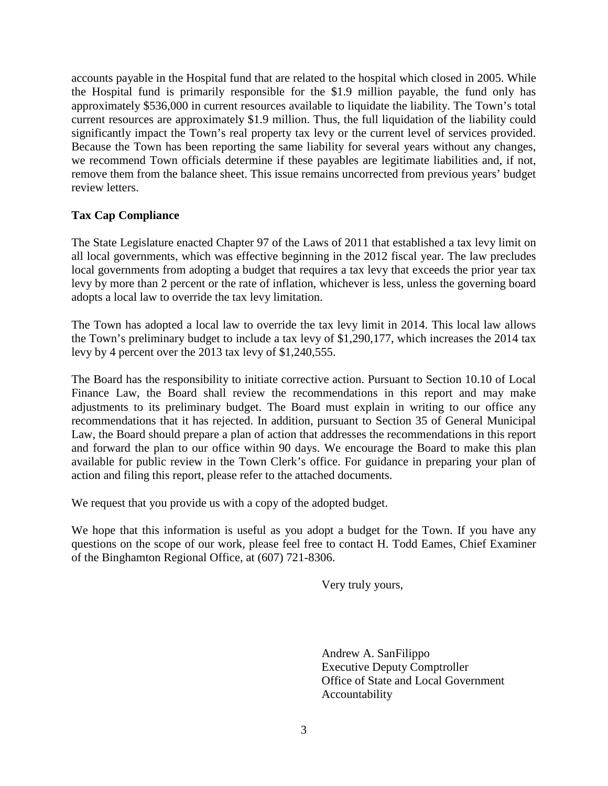accounts payable in the Hospital fund that are related to the hospital which closed in 2005. While the Hospital fund is primarily responsible for the \$1.9 million payable, the fund only has approximately \$536,000 in current resources available to liquidate the liability. The Town's total current resources are approximately \$1.9 million. Thus, the full liquidation of the liability could significantly impact the Town's real property tax levy or the current level of services provided. Because the Town has been reporting the same liability for several years without any changes, we recommend Town officials determine if these payables are legitimate liabilities and, if not, remove them from the balance sheet. This issue remains uncorrected from previous years' budget review letters.

## **Tax Cap Compliance**

The State Legislature enacted Chapter 97 of the Laws of 2011 that established a tax levy limit on all local governments, which was effective beginning in the 2012 fiscal year. The law precludes local governments from adopting a budget that requires a tax levy that exceeds the prior year tax levy by more than 2 percent or the rate of inflation, whichever is less, unless the governing board adopts a local law to override the tax levy limitation.

The Town has adopted a local law to override the tax levy limit in 2014. This local law allows the Town's preliminary budget to include a tax levy of \$1,290,177, which increases the 2014 tax levy by 4 percent over the 2013 tax levy of \$1,240,555.

The Board has the responsibility to initiate corrective action. Pursuant to Section 10.10 of Local Finance Law, the Board shall review the recommendations in this report and may make adjustments to its preliminary budget. The Board must explain in writing to our office any recommendations that it has rejected. In addition, pursuant to Section 35 of General Municipal Law, the Board should prepare a plan of action that addresses the recommendations in this report and forward the plan to our office within 90 days. We encourage the Board to make this plan available for public review in the Town Clerk's office. For guidance in preparing your plan of action and filing this report, please refer to the attached documents.

We request that you provide us with a copy of the adopted budget.

We hope that this information is useful as you adopt a budget for the Town. If you have any questions on the scope of our work, please feel free to contact H. Todd Eames, Chief Examiner of the Binghamton Regional Office, at (607) 721-8306.

Very truly yours,

Andrew A. SanFilippo Executive Deputy Comptroller Office of State and Local Government Accountability